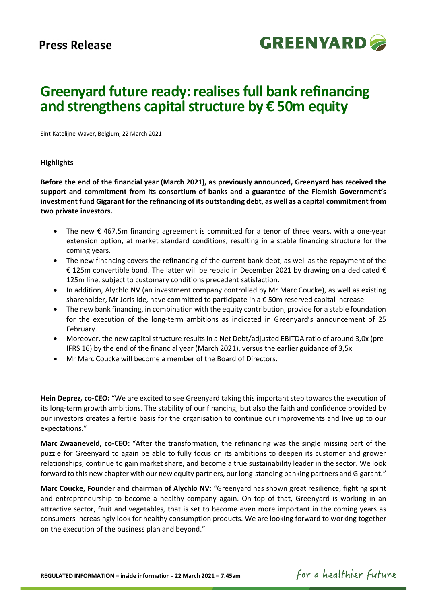

# **Greenyard future ready: realises full bank refinancing and strengthens capital structure by € 50m equity**

Sint-Katelijne-Waver, Belgium, 22 March 2021

### **Highlights**

**Before the end of the financial year (March 2021), as previously announced, Greenyard has received the support and commitment from its consortium of banks and a guarantee of the Flemish Government's investment fund Gigarant for the refinancing of its outstanding debt, as well as a capital commitment from two private investors.**

- The new € 467,5m financing agreement is committed for a tenor of three years, with a one-year extension option, at market standard conditions, resulting in a stable financing structure for the coming years.
- The new financing covers the refinancing of the current bank debt, as well as the repayment of the € 125m convertible bond. The latter will be repaid in December 2021 by drawing on a dedicated € 125m line, subject to customary conditions precedent satisfaction.
- In addition, Alychlo NV (an investment company controlled by Mr Marc Coucke), as well as existing shareholder, Mr Joris Ide, have committed to participate in a € 50m reserved capital increase.
- The new bank financing, in combination with the equity contribution, provide for a stable foundation for the execution of the long-term ambitions as indicated in Greenyard's announcement of 25 February.
- Moreover, the new capital structure results in a Net Debt/adjusted EBITDA ratio of around 3,0x (pre-IFRS 16) by the end of the financial year (March 2021), versus the earlier guidance of 3,5x.
- Mr Marc Coucke will become a member of the Board of Directors.

**Hein Deprez, co-CEO:** "We are excited to see Greenyard taking this important step towards the execution of its long-term growth ambitions. The stability of our financing, but also the faith and confidence provided by our investors creates a fertile basis for the organisation to continue our improvements and live up to our expectations."

**Marc Zwaaneveld, co-CEO:** "After the transformation, the refinancing was the single missing part of the puzzle for Greenyard to again be able to fully focus on its ambitions to deepen its customer and grower relationships, continue to gain market share, and become a true sustainability leader in the sector. We look forward to this new chapter with our new equity partners, our long-standing banking partners and Gigarant."

**Marc Coucke, Founder and chairman of Alychlo NV:** "Greenyard has shown great resilience, fighting spirit and entrepreneurship to become a healthy company again. On top of that, Greenyard is working in an attractive sector, fruit and vegetables, that is set to become even more important in the coming years as consumers increasingly look for healthy consumption products. We are looking forward to working together on the execution of the business plan and beyond."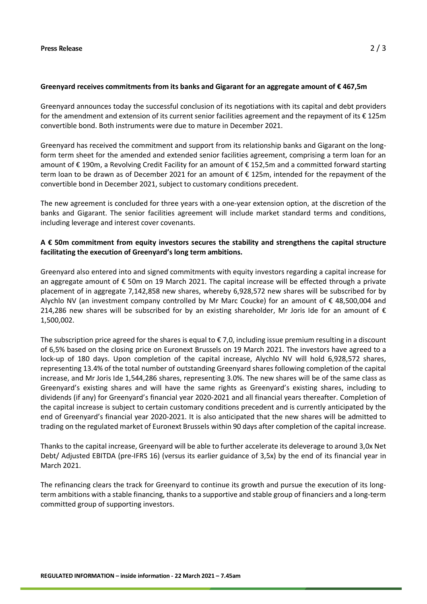## **Greenyard receives commitments from its banks and Gigarant for an aggregate amount of € 467,5m**

Greenyard announces today the successful conclusion of its negotiations with its capital and debt providers for the amendment and extension of its current senior facilities agreement and the repayment of its  $\epsilon$  125m convertible bond. Both instruments were due to mature in December 2021.

Greenyard has received the commitment and support from its relationship banks and Gigarant on the longform term sheet for the amended and extended senior facilities agreement, comprising a term loan for an amount of € 190m, a Revolving Credit Facility for an amount of € 152,5m and a committed forward starting term loan to be drawn as of December 2021 for an amount of € 125m, intended for the repayment of the convertible bond in December 2021, subject to customary conditions precedent.

The new agreement is concluded for three years with a one-year extension option, at the discretion of the banks and Gigarant. The senior facilities agreement will include market standard terms and conditions, including leverage and interest cover covenants.

# **A € 50m commitment from equity investors secures the stability and strengthens the capital structure facilitating the execution of Greenyard's long term ambitions.**

Greenyard also entered into and signed commitments with equity investors regarding a capital increase for an aggregate amount of € 50m on 19 March 2021. The capital increase will be effected through a private placement of in aggregate 7,142,858 new shares, whereby 6,928,572 new shares will be subscribed for by Alychlo NV (an investment company controlled by Mr Marc Coucke) for an amount of € 48,500,004 and 214,286 new shares will be subscribed for by an existing shareholder, Mr Joris Ide for an amount of  $\epsilon$ 1,500,002.

The subscription price agreed for the shares is equal to  $\epsilon$  7,0, including issue premium resulting in a discount of 6,5% based on the closing price on Euronext Brussels on 19 March 2021. The investors have agreed to a lock-up of 180 days. Upon completion of the capital increase, Alychlo NV will hold 6,928,572 shares, representing 13.4% of the total number of outstanding Greenyard shares following completion of the capital increase, and Mr Joris Ide 1,544,286 shares, representing 3.0%. The new shares will be of the same class as Greenyard's existing shares and will have the same rights as Greenyard's existing shares, including to dividends (if any) for Greenyard's financial year 2020-2021 and all financial years thereafter. Completion of the capital increase is subject to certain customary conditions precedent and is currently anticipated by the end of Greenyard's financial year 2020-2021. It is also anticipated that the new shares will be admitted to trading on the regulated market of Euronext Brussels within 90 days after completion of the capital increase.

Thanks to the capital increase, Greenyard will be able to further accelerate its deleverage to around 3,0x Net Debt/ Adjusted EBITDA (pre-IFRS 16) (versus its earlier guidance of 3,5x) by the end of its financial year in March 2021.

The refinancing clears the track for Greenyard to continue its growth and pursue the execution of its longterm ambitions with a stable financing, thanks to a supportive and stable group of financiers and a long-term committed group of supporting investors.